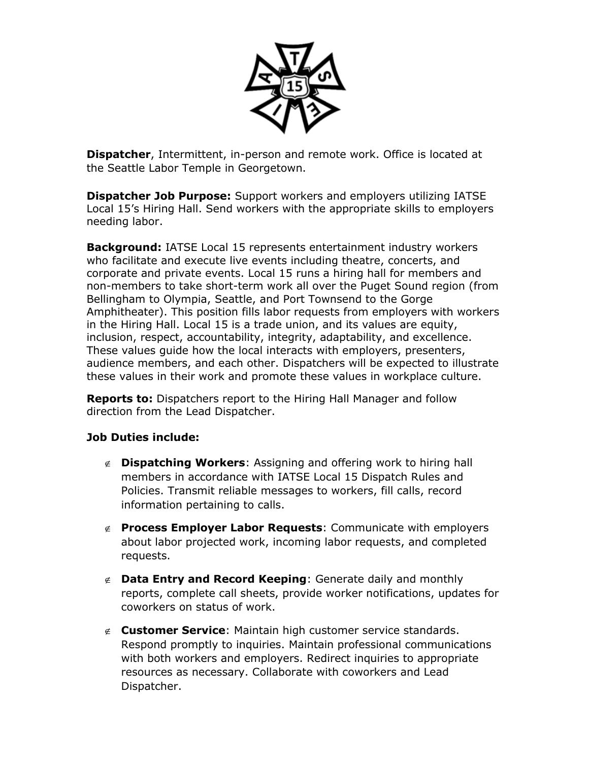

**Dispatcher**, Intermittent, in-person and remote work. Office is located at the Seattle Labor Temple in Georgetown.

**Dispatcher Job Purpose:** Support workers and employers utilizing IATSE Local 15's Hiring Hall. Send workers with the appropriate skills to employers needing labor.

**Background:** IATSE Local 15 represents entertainment industry workers who facilitate and execute live events including theatre, concerts, and corporate and private events. Local 15 runs a hiring hall for members and non-members to take short-term work all over the Puget Sound region (from Bellingham to Olympia, Seattle, and Port Townsend to the Gorge Amphitheater). This position fills labor requests from employers with workers in the Hiring Hall. Local 15 is a trade union, and its values are equity, inclusion, respect, accountability, integrity, adaptability, and excellence. These values guide how the local interacts with employers, presenters, audience members, and each other. Dispatchers will be expected to illustrate these values in their work and promote these values in workplace culture.

**Reports to:** Dispatchers report to the Hiring Hall Manager and follow direction from the Lead Dispatcher.

## **Job Duties include:**

- **Dispatching Workers**: Assigning and offering work to hiring hall members in accordance with IATSE Local 15 Dispatch Rules and Policies. Transmit reliable messages to workers, fill calls, record information pertaining to calls.
- **Process Employer Labor Requests**: Communicate with employers about labor projected work, incoming labor requests, and completed requests.
- **Data Entry and Record Keeping**: Generate daily and monthly reports, complete call sheets, provide worker notifications, updates for coworkers on status of work.
- **Customer Service**: Maintain high customer service standards. Respond promptly to inquiries. Maintain professional communications with both workers and employers. Redirect inquiries to appropriate resources as necessary. Collaborate with coworkers and Lead Dispatcher.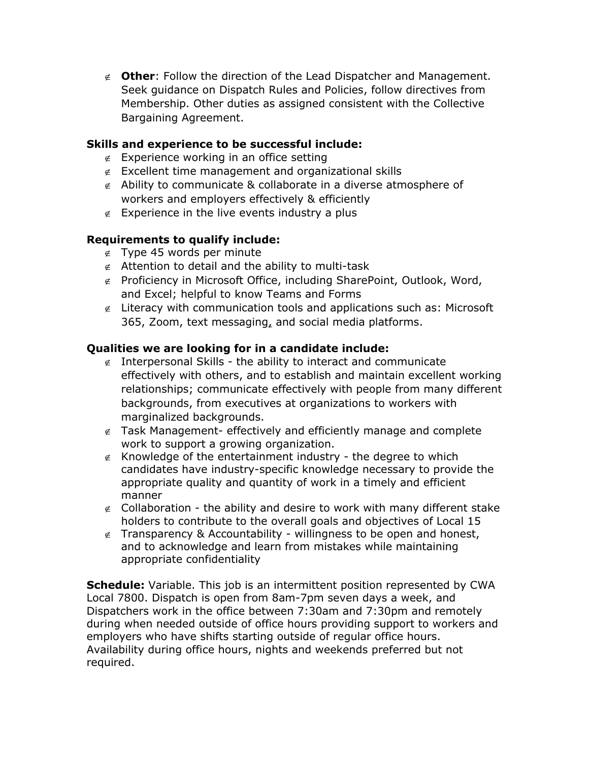**Other**: Follow the direction of the Lead Dispatcher and Management. Seek guidance on Dispatch Rules and Policies, follow directives from Membership. Other duties as assigned consistent with the Collective Bargaining Agreement.

## **Skills and experience to be successful include:**

- $\epsilon$  Experience working in an office setting
- $\epsilon$  Excellent time management and organizational skills
- $\epsilon$  Ability to communicate & collaborate in a diverse atmosphere of workers and employers effectively & efficiently
- $\epsilon$  Experience in the live events industry a plus

## **Requirements to qualify include:**

- $\epsilon$  Type 45 words per minute
- $\epsilon$  Attention to detail and the ability to multi-task
- $\notin$  Proficiency in Microsoft Office, including SharePoint, Outlook, Word, and Excel; helpful to know Teams and Forms
- $\epsilon$  Literacy with communication tools and applications such as: Microsoft 365, Zoom, text messaging, and social media platforms.

## **Qualities we are looking for in a candidate include:**

- $\epsilon$  Interpersonal Skills the ability to interact and communicate effectively with others, and to establish and maintain excellent working relationships; communicate effectively with people from many different backgrounds, from executives at organizations to workers with marginalized backgrounds.
- $\epsilon$  Task Management- effectively and efficiently manage and complete work to support a growing organization.
- $\epsilon$  Knowledge of the entertainment industry the degree to which candidates have industry-specific knowledge necessary to provide the appropriate quality and quantity of work in a timely and efficient manner
- $\epsilon$  Collaboration the ability and desire to work with many different stake holders to contribute to the overall goals and objectives of Local 15
- $\epsilon$  Transparency & Accountability willingness to be open and honest, and to acknowledge and learn from mistakes while maintaining appropriate confidentiality

**Schedule:** Variable. This job is an intermittent position represented by CWA Local 7800. Dispatch is open from 8am-7pm seven days a week, and Dispatchers work in the office between 7:30am and 7:30pm and remotely during when needed outside of office hours providing support to workers and employers who have shifts starting outside of regular office hours. Availability during office hours, nights and weekends preferred but not required.